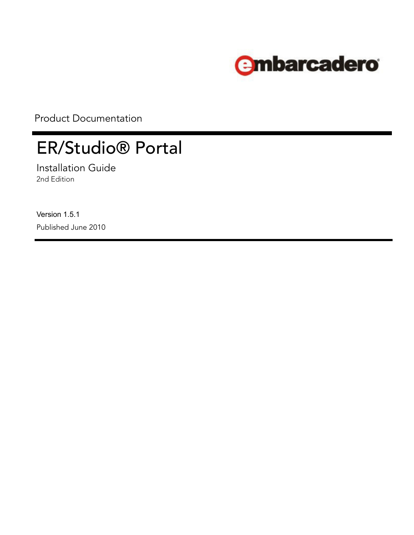

Product Documentation

# ER/Studio® Portal

Installation Guide 2nd Edition

Version 1.5.1 Published June 2010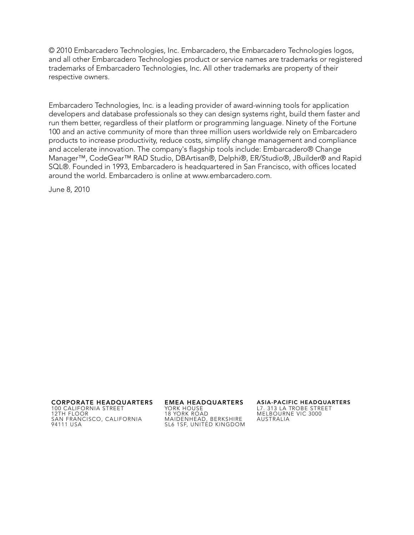© 2010 Embarcadero Technologies, Inc. Embarcadero, the Embarcadero Technologies logos, and all other Embarcadero Technologies product or service names are trademarks or registered trademarks of Embarcadero Technologies, Inc. All other trademarks are property of their respective owners.

Embarcadero Technologies, Inc. is a leading provider of award-winning tools for application developers and database professionals so they can design systems right, build them faster and run them better, regardless of their platform or programming language. Ninety of the Fortune 100 and an active community of more than three million users worldwide rely on Embarcadero products to increase productivity, reduce costs, simplify change management and compliance and accelerate innovation. The company's flagship tools include: Embarcadero® Change Manager™, CodeGear™ RAD Studio, DBArtisan®, Delphi®, ER/Studio®, JBuilder® and Rapid SQL®. Founded in 1993, Embarcadero is headquartered in San Francisco, with offices located around the world. Embarcadero is online at www.embarcadero.com.

June 8, 2010

**CORPORATE HEADQUARTERS EMEA HEADQUARTERS ASIA-PACIFIC HEADQUARTERS** 100 CALIFORNIA STREET 12TH FLOOR SAN FRANCISCO, CALIFORNIA 94111 USA

YORK HOUSE 18 YORK ROAD MAIDENHEAD, BERKSHIRE SL6 1SF, UNITED KINGDOM

L7. 313 LA TROBE STREET MELBOURNE VIC 3000 AUSTRALIA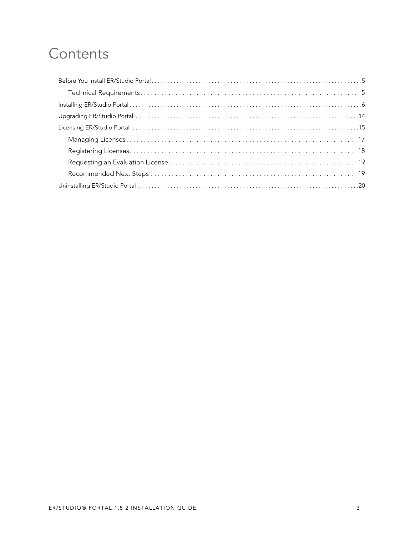# **Contents**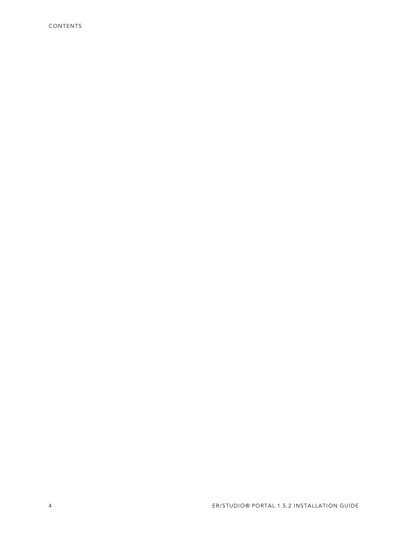CONTENTS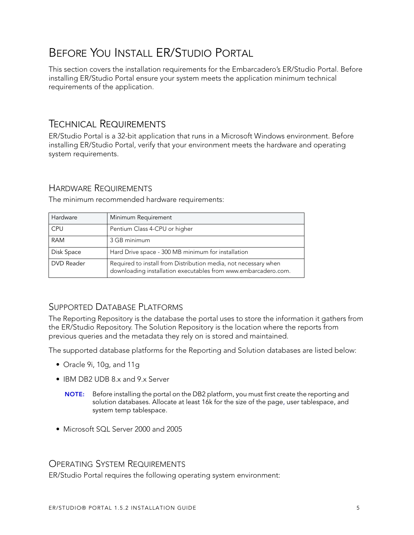# <span id="page-4-0"></span>BEFORE YOU INSTALL ER/STUDIO PORTAL

This section covers the installation requirements for the Embarcadero's ER/Studio Portal. Before installing ER/Studio Portal ensure your system meets the application minimum technical requirements of the application.

# <span id="page-4-1"></span>TECHNICAL REQUIREMENTS

ER/Studio Portal is a 32-bit application that runs in a Microsoft Windows environment. Before installing ER/Studio Portal, verify that your environment meets the hardware and operating system requirements.

## HARDWARE REQUIREMENTS

The minimum recommended hardware requirements:

| Hardware   | Minimum Requirement                                                                                                               |
|------------|-----------------------------------------------------------------------------------------------------------------------------------|
| <b>CPU</b> | Pentium Class 4-CPU or higher                                                                                                     |
| <b>RAM</b> | 3 GB minimum                                                                                                                      |
| Disk Space | Hard Drive space - 300 MB minimum for installation                                                                                |
| DVD Reader | Required to install from Distribution media, not necessary when<br>downloading installation executables from www.embarcadero.com. |

## SUPPORTED DATABASE PLATFORMS

The Reporting Repository is the database the portal uses to store the information it gathers from the ER/Studio Repository. The Solution Repository is the location where the reports from previous queries and the metadata they rely on is stored and maintained.

The supported database platforms for the Reporting and Solution databases are listed below:

- Oracle 9i, 10g, and 11g
- IBM DB2 UDB 8.x and 9.x Server
	- **NOTE:** Before installing the portal on the DB2 platform, you must first create the reporting and solution databases. Allocate at least 16k for the size of the page, user tablespace, and system temp tablespace.
- Microsoft SOL Server 2000 and 2005

## OPERATING SYSTEM REQUIREMENTS

ER/Studio Portal requires the following operating system environment: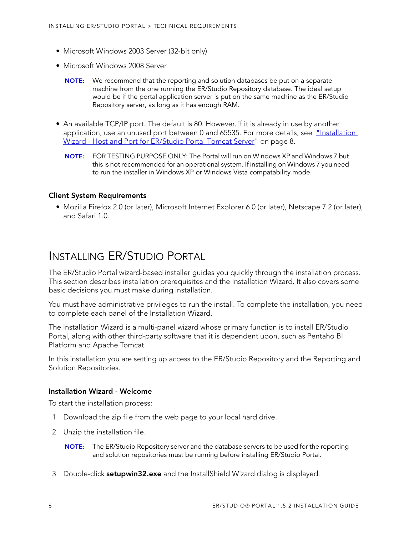- Microsoft Windows 2003 Server (32-bit only)
- Microsoft Windows 2008 Server
	- **NOTE:** We recommend that the reporting and solution databases be put on a separate machine from the one running the ER/Studio Repository database. The ideal setup would be if the portal application server is put on the same machine as the ER/Studio Repository server, as long as it has enough RAM.
- An available TCP/IP port. The default is 80. However, if it is already in use by another application, use an unused port between 0 and 65535. For more details, see *"Installation* [Wizard - Host and Port for ER/Studio Portal Tomcat Server" on page 8](#page-7-0).
	- **NOTE:** FOR TESTING PURPOSE ONLY: The Portal will run on Windows XP and Windows 7 but this is not recommended for an operational system. If installing on Windows 7 you need to run the installer in Windows XP or Windows Vista compatability mode.

#### <span id="page-5-1"></span>**Client System Requirements**

• Mozilla Firefox 2.0 (or later), Microsoft Internet Explorer 6.0 (or later), Netscape 7.2 (or later), and Safari 1.0.

# <span id="page-5-0"></span>INSTALLING ER/STUDIO PORTAL

The ER/Studio Portal wizard-based installer guides you quickly through the installation process. This section describes installation prerequisites and the Installation Wizard. It also covers some basic decisions you must make during installation.

You must have administrative privileges to run the install. To complete the installation, you need to complete each panel of the Installation Wizard.

The Installation Wizard is a multi-panel wizard whose primary function is to install ER/Studio Portal, along with other third-party software that it is dependent upon, such as Pentaho BI Platform and Apache Tomcat.

In this installation you are setting up access to the ER/Studio Repository and the Reporting and Solution Repositories.

#### **Installation Wizard - Welcome**

To start the installation process:

- 1 Download the zip file from the web page to your local hard drive.
- 2 Unzip the installation file.
	- **NOTE:** The ER/Studio Repository server and the database servers to be used for the reporting and solution repositories must be running before installing ER/Studio Portal.
- 3 Double-click **setupwin32.exe** and the InstallShield Wizard dialog is displayed.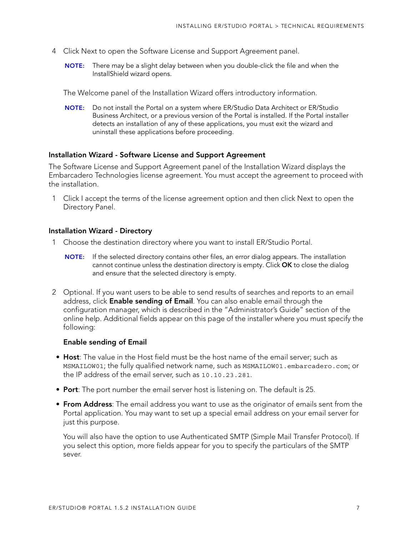- 4 Click Next to open the Software License and Support Agreement panel.
	- **NOTE:** There may be a slight delay between when you double-click the file and when the InstallShield wizard opens.

The Welcome panel of the Installation Wizard offers introductory information.

**NOTE:** Do not install the Portal on a system where ER/Studio Data Architect or ER/Studio Business Architect, or a previous version of the Portal is installed. If the Portal installer detects an installation of any of these applications, you must exit the wizard and uninstall these applications before proceeding.

#### **Installation Wizard - Software License and Support Agreement**

The Software License and Support Agreement panel of the Installation Wizard displays the Embarcadero Technologies license agreement. You must accept the agreement to proceed with the installation.

1 Click I accept the terms of the license agreement option and then click Next to open the Directory Panel.

#### **Installation Wizard - Directory**

- 1 Choose the destination directory where you want to install ER/Studio Portal.
	- **NOTE:** If the selected directory contains other files, an error dialog appears. The installation cannot continue unless the destination directory is empty. Click **OK** to close the dialog and ensure that the selected directory is empty.
- 2 Optional. If you want users to be able to send results of searches and reports to an email address, click **Enable sending of Email**. You can also enable email through the configuration manager, which is described in the "Administrator's Guide" section of the online help. Additional fields appear on this page of the installer where you must specify the following:

#### **Enable sending of Email**

- **Host**: The value in the Host field must be the host name of the email server; such as MSMAILOW01; the fully qualified network name, such as MSMAILOW01.embarcadero.com; or the IP address of the email server, such as 10.10.23.281.
- **Port**: The port number the email server host is listening on. The default is 25.
- **From Address**: The email address you want to use as the originator of emails sent from the Portal application. You may want to set up a special email address on your email server for just this purpose.

You will also have the option to use Authenticated SMTP (Simple Mail Transfer Protocol). If you select this option, more fields appear for you to specify the particulars of the SMTP sever.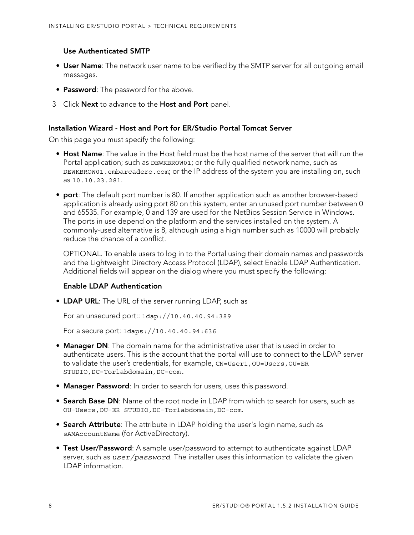#### **Use Authenticated SMTP**

- **User Name**: The network user name to be verified by the SMTP server for all outgoing email messages.
- **Password**: The password for the above.
- 3 Click **Next** to advance to the **Host and Port** panel.

#### <span id="page-7-0"></span>**Installation Wizard - Host and Port for ER/Studio Portal Tomcat Server**

On this page you must specify the following:

- **Host Name**: The value in the Host field must be the host name of the server that will run the Portal application; such as DEWKBROW01; or the fully qualified network name, such as DEWKBROW01.embarcadero.com; or the IP address of the system you are installing on, such as 10.10.23.281.
- **port**: The default port number is 80. If another application such as another browser-based application is already using port 80 on this system, enter an unused port number between 0 and 65535. For example, 0 and 139 are used for the NetBios Session Service in Windows. The ports in use depend on the platform and the services installed on the system. A commonly-used alternative is 8, although using a high number such as 10000 will probably reduce the chance of a conflict.

OPTIONAL. To enable users to log in to the Portal using their domain names and passwords and the Lightweight Directory Access Protocol (LDAP), select Enable LDAP Authentication. Additional fields will appear on the dialog where you must specify the following:

### **Enable LDAP Authentication**

• **LDAP URL**: The URL of the server running LDAP, such as

For an unsecured port:: ldap://10.40.40.94:389

For a secure port: ldaps://10.40.40.94:636

- **Manager DN**: The domain name for the administrative user that is used in order to authenticate users. This is the account that the portal will use to connect to the LDAP server to validate the user's credentials, for example, CN=User1,OU=Users,OU=ER STUDIO,DC=Torlabdomain,DC=com.
- **Manager Password**: In order to search for users, uses this password.
- **Search Base DN**: Name of the root node in LDAP from which to search for users, such as OU=Users,OU=ER STUDIO,DC=Torlabdomain,DC=com.
- **Search Attribute**: The attribute in LDAP holding the user's login name, such as sAMAccountName (for ActiveDirectory).
- **Test User/Password**: A sample user/password to attempt to authenticate against LDAP server, such as *user/password*. The installer uses this information to validate the given LDAP information.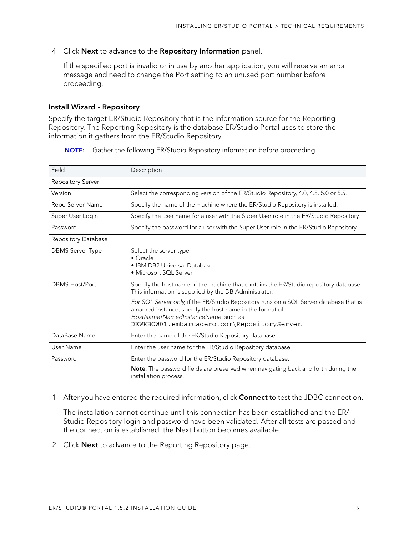4 Click **Next** to advance to the **Repository Information** panel.

If the specified port is invalid or in use by another application, you will receive an error message and need to change the Port setting to an unused port number before proceeding.

#### **Install Wizard - Repository**

Specify the target ER/Studio Repository that is the information source for the Reporting Repository. The Reporting Repository is the database ER/Studio Portal uses to store the information it gathers from the ER/Studio Repository.

| Field                    | Description                                                                                                                                                                                                                              |  |  |  |  |
|--------------------------|------------------------------------------------------------------------------------------------------------------------------------------------------------------------------------------------------------------------------------------|--|--|--|--|
| <b>Repository Server</b> |                                                                                                                                                                                                                                          |  |  |  |  |
| Version                  | Select the corresponding version of the ER/Studio Repository, 4.0, 4.5, 5.0 or 5.5.                                                                                                                                                      |  |  |  |  |
| Repo Server Name         | Specify the name of the machine where the ER/Studio Repository is installed.                                                                                                                                                             |  |  |  |  |
| Super User Login         | Specify the user name for a user with the Super User role in the ER/Studio Repository.                                                                                                                                                   |  |  |  |  |
| Password                 | Specify the password for a user with the Super User role in the ER/Studio Repository.                                                                                                                                                    |  |  |  |  |
| Repository Database      |                                                                                                                                                                                                                                          |  |  |  |  |
| <b>DBMS</b> Server Type  | Select the server type:<br>$\bullet$ Oracle<br>• IBM DB2 Universal Database<br>• Microsoft SQL Server                                                                                                                                    |  |  |  |  |
| <b>DBMS Host/Port</b>    | Specify the host name of the machine that contains the ER/Studio repository database.<br>This information is supplied by the DB Administrator.                                                                                           |  |  |  |  |
|                          | For SQL Server only, if the ER/Studio Repository runs on a SQL Server database that is<br>a named instance, specify the host name in the format of<br>HostName\NamedInstanceName, such as<br>DEWKBOW01.embarcadero.com\RepositoryServer. |  |  |  |  |
| DataBase Name            | Enter the name of the ER/Studio Repository database.                                                                                                                                                                                     |  |  |  |  |
| User Name                | Enter the user name for the ER/Studio Repository database.                                                                                                                                                                               |  |  |  |  |
| Password                 | Enter the password for the ER/Studio Repository database.                                                                                                                                                                                |  |  |  |  |
|                          | Note: The password fields are preserved when navigating back and forth during the<br>installation process.                                                                                                                               |  |  |  |  |

**NOTE:** Gather the following ER/Studio Repository information before proceeding.

1 After you have entered the required information, click **Connect** to test the JDBC connection.

The installation cannot continue until this connection has been established and the ER/ Studio Repository login and password have been validated. After all tests are passed and the connection is established, the Next button becomes available.

2 Click **Next** to advance to the Reporting Repository page.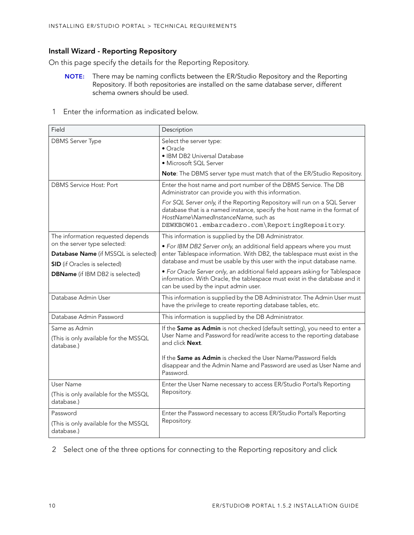### **Install Wizard - Reporting Repository**

On this page specify the details for the Reporting Repository.

- **NOTE:** There may be naming conflicts between the ER/Studio Repository and the Reporting Repository. If both repositories are installed on the same database server, different schema owners should be used.
- 1 Enter the information as indicated below.

| Field                                                                                                       | Description                                                                                                                                                                                                                                     |  |  |  |  |
|-------------------------------------------------------------------------------------------------------------|-------------------------------------------------------------------------------------------------------------------------------------------------------------------------------------------------------------------------------------------------|--|--|--|--|
| <b>DBMS</b> Server Type                                                                                     | Select the server type:<br>• Oracle<br>• IBM DB2 Universal Database<br>• Microsoft SQL Server                                                                                                                                                   |  |  |  |  |
|                                                                                                             | Note: The DBMS server type must match that of the ER/Studio Repository.                                                                                                                                                                         |  |  |  |  |
| <b>DBMS</b> Service Host: Port                                                                              | Enter the host name and port number of the DBMS Service. The DB<br>Administrator can provide you with this information.                                                                                                                         |  |  |  |  |
|                                                                                                             | For SQL Server only, if the Reporting Repository will run on a SQL Server<br>database that is a named instance, specify the host name in the format of<br>HostName\NamedInstanceName, such as<br>DEWKBOW01.embarcadero.com\ReportingRepository. |  |  |  |  |
| The information requested depends                                                                           | This information is supplied by the DB Administrator.                                                                                                                                                                                           |  |  |  |  |
| on the server type selected:<br>Database Name (if MSSQL is selected)<br><b>SID</b> (if Oracles is selected) | • For IBM DB2 Server only, an additional field appears where you must<br>enter Tablespace information. With DB2, the tablespace must exist in the<br>database and must be usable by this user with the input database name.                     |  |  |  |  |
| <b>DBName</b> (if IBM DB2 is selected)                                                                      | • For Oracle Server only, an additional field appears asking for Tablespace<br>information. With Oracle, the tablespace must exist in the database and it<br>can be used by the input admin user.                                               |  |  |  |  |
| Database Admin User                                                                                         | This information is supplied by the DB Administrator. The Admin User must<br>have the privilege to create reporting database tables, etc.                                                                                                       |  |  |  |  |
| Database Admin Password                                                                                     | This information is supplied by the DB Administrator.                                                                                                                                                                                           |  |  |  |  |
| Same as Admin<br>(This is only available for the MSSQL<br>database.)                                        | If the Same as Admin is not checked (default setting), you need to enter a<br>User Name and Password for read/write access to the reporting database<br>and click Next.                                                                         |  |  |  |  |
|                                                                                                             | If the <b>Same as Admin</b> is checked the User Name/Password fields<br>disappear and the Admin Name and Password are used as User Name and<br>Password.                                                                                        |  |  |  |  |
| User Name                                                                                                   | Enter the User Name necessary to access ER/Studio Portal's Reporting                                                                                                                                                                            |  |  |  |  |
| (This is only available for the MSSQL<br>database.)                                                         | Repository.                                                                                                                                                                                                                                     |  |  |  |  |
| Password                                                                                                    | Enter the Password necessary to access ER/Studio Portal's Reporting                                                                                                                                                                             |  |  |  |  |
| (This is only available for the MSSQL<br>database.)                                                         | Repository.                                                                                                                                                                                                                                     |  |  |  |  |

2 Select one of the three options for connecting to the Reporting repository and click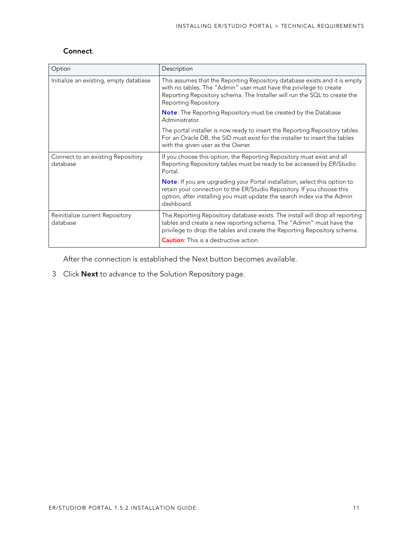#### **Connect**.

| Option                                        | Description                                                                                                                                                                                                                                            |  |  |  |
|-----------------------------------------------|--------------------------------------------------------------------------------------------------------------------------------------------------------------------------------------------------------------------------------------------------------|--|--|--|
| Initialize an existing, empty database        | This assumes that the Reporting Repository database exists and it is empty<br>with no tables. The "Admin" user must have the privilege to create<br>Reporting Repository schema. The Installer will run the SQL to create the<br>Reporting Repository. |  |  |  |
|                                               | <b>Note:</b> The Reporting Repository must be created by the Database<br>Administrator.                                                                                                                                                                |  |  |  |
|                                               | The portal installer is now ready to insert the Reporting Repository tables.<br>For an Oracle DB, the SID must exist for the installer to insert the tables<br>with the given user as the Owner.                                                       |  |  |  |
| Connect to an existing Repository<br>database | If you choose this option, the Reporting Repository must exist and all<br>Reporting Repository tables must be ready to be accessed by ER/Studio<br>Portal.                                                                                             |  |  |  |
|                                               | Note: If you are upgrading your Portal installation, select this option to<br>retain your connection to the ER/Studio Repository. If you choose this<br>option, after installing you must update the search index via the Admin<br>dashboard.          |  |  |  |
| Reinitialize current Repository<br>database   | The Reporting Repository database exists. The install will drop all reporting<br>tables and create a new reporting schema. The "Admin" must have the<br>privilege to drop the tables and create the Reporting Repository schema.                       |  |  |  |
|                                               | <b>Caution</b> : This is a destructive action.                                                                                                                                                                                                         |  |  |  |

After the connection is established the Next button becomes available.

3 Click **Next** to advance to the Solution Repository page.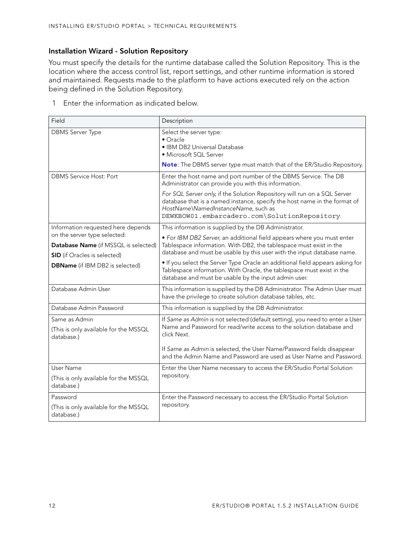#### **Installation Wizard - Solution Repository**

You must specify the details for the runtime database called the Solution Repository. This is the location where the access control list, report settings, and other runtime information is stored and maintained. Requests made to the platform to have actions executed rely on the action being defined in the Solution Repository.

1 Enter the information as indicated below.

| Field                                                                       | Description                                                                                                                                                                                                                                   |  |  |  |  |
|-----------------------------------------------------------------------------|-----------------------------------------------------------------------------------------------------------------------------------------------------------------------------------------------------------------------------------------------|--|--|--|--|
| <b>DBMS</b> Server Type                                                     | Select the server type:<br>• Oracle<br>· IBM DB2 Universal Database<br>· Microsoft SQL Server<br>Note: The DBMS server type must match that of the ER/Studio Repository.                                                                      |  |  |  |  |
| <b>DBMS</b> Service Host: Port                                              | Enter the host name and port number of the DBMS Service. The DB                                                                                                                                                                               |  |  |  |  |
|                                                                             | Administrator can provide you with this information.                                                                                                                                                                                          |  |  |  |  |
|                                                                             | For SQL Server only, if the Solution Repository will run on a SQL Server<br>database that is a named instance, specify the host name in the format of<br>HostName\NamedInstanceName, such as<br>DEWKBOW01.embarcadero.com\SolutionRepository. |  |  |  |  |
| Information requested here depends                                          | This information is supplied by the DB Administrator.                                                                                                                                                                                         |  |  |  |  |
| on the server type selected:                                                | • For IBM DB2 Server, an additional field appears where you must enter<br>Tablespace information. With DB2, the tablespace must exist in the<br>database and must be usable by this user with the input database name.                        |  |  |  |  |
| Database Name (if MSSQL is selected)<br><b>SID</b> (if Oracles is selected) |                                                                                                                                                                                                                                               |  |  |  |  |
| <b>DBName</b> (if IBM DB2 is selected)                                      | • If you select the Server Type Oracle an additional field appears asking for<br>Tablespace information. With Oracle, the tablespace must exist in the<br>database and must be usable by the input admin user.                                |  |  |  |  |
| Database Admin User                                                         | This information is supplied by the DB Administrator. The Admin User must<br>have the privilege to create solution database tables, etc.                                                                                                      |  |  |  |  |
| Database Admin Password                                                     | This information is supplied by the DB Administrator.                                                                                                                                                                                         |  |  |  |  |
| Same as Admin<br>(This is only available for the MSSQL<br>database.)        | If Same as Admin is not selected (default setting), you need to enter a User<br>Name and Password for read/write access to the solution database and<br>click Next.                                                                           |  |  |  |  |
|                                                                             | If Same as Admin is selected, the User Name/Password fields disappear<br>and the Admin Name and Password are used as User Name and Password.                                                                                                  |  |  |  |  |
| User Name                                                                   | Enter the User Name necessary to access the ER/Studio Portal Solution                                                                                                                                                                         |  |  |  |  |
| (This is only available for the MSSQL<br>database.)                         | repository.                                                                                                                                                                                                                                   |  |  |  |  |
| Password                                                                    | Enter the Password necessary to access the ER/Studio Portal Solution                                                                                                                                                                          |  |  |  |  |
| (This is only available for the MSSQL<br>database.)                         | repository.                                                                                                                                                                                                                                   |  |  |  |  |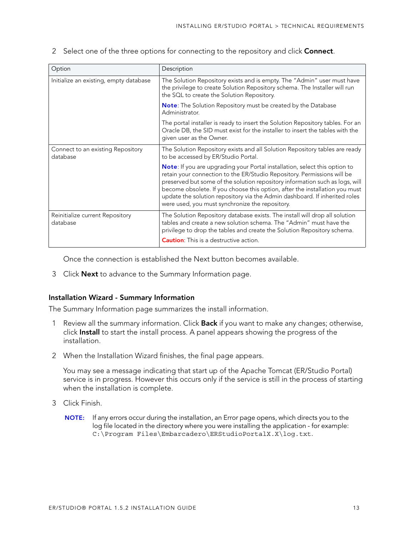2 Select one of the three options for connecting to the repository and click **Connect**.

| Option                                        | Description                                                                                                                                                                                                                                                                                                                                                                                                                                           |  |  |
|-----------------------------------------------|-------------------------------------------------------------------------------------------------------------------------------------------------------------------------------------------------------------------------------------------------------------------------------------------------------------------------------------------------------------------------------------------------------------------------------------------------------|--|--|
| Initialize an existing, empty database        | The Solution Repository exists and is empty. The "Admin" user must have<br>the privilege to create Solution Repository schema. The Installer will run<br>the SQL to create the Solution Repository.                                                                                                                                                                                                                                                   |  |  |
|                                               | <b>Note:</b> The Solution Repository must be created by the Database<br>Administrator.                                                                                                                                                                                                                                                                                                                                                                |  |  |
|                                               | The portal installer is ready to insert the Solution Repository tables. For an<br>Oracle DB, the SID must exist for the installer to insert the tables with the<br>given user as the Owner.                                                                                                                                                                                                                                                           |  |  |
| Connect to an existing Repository<br>database | The Solution Repository exists and all Solution Repository tables are ready<br>to be accessed by ER/Studio Portal.                                                                                                                                                                                                                                                                                                                                    |  |  |
|                                               | Note: If you are upgrading your Portal installation, select this option to<br>retain your connection to the ER/Studio Repository. Permissions will be<br>preserved but some of the solution repository information such as logs, will<br>become obsolete. If you choose this option, after the installation you must<br>update the solution repository via the Admin dashboard. If inherited roles<br>were used, you must synchronize the repository. |  |  |
| Reinitialize current Repository<br>database   | The Solution Repository database exists. The install will drop all solution<br>tables and create a new solution schema. The "Admin" must have the<br>privilege to drop the tables and create the Solution Repository schema.                                                                                                                                                                                                                          |  |  |
|                                               | <b>Caution:</b> This is a destructive action.                                                                                                                                                                                                                                                                                                                                                                                                         |  |  |

Once the connection is established the Next button becomes available.

3 Click **Next** to advance to the Summary Information page.

#### **Installation Wizard - Summary Information**

The Summary Information page summarizes the install information.

- 1 Review all the summary information. Click **Back** if you want to make any changes; otherwise, click **Install** to start the install process. A panel appears showing the progress of the installation.
- 2 When the Installation Wizard finishes, the final page appears.

You may see a message indicating that start up of the Apache Tomcat (ER/Studio Portal) service is in progress. However this occurs only if the service is still in the process of starting when the installation is complete.

- 3 Click Finish.
	- **NOTE:** If any errors occur during the installation, an Error page opens, which directs you to the log file located in the directory where you were installing the application - for example: C:\Program Files\Embarcadero\ERStudioPortalX.X\log.txt.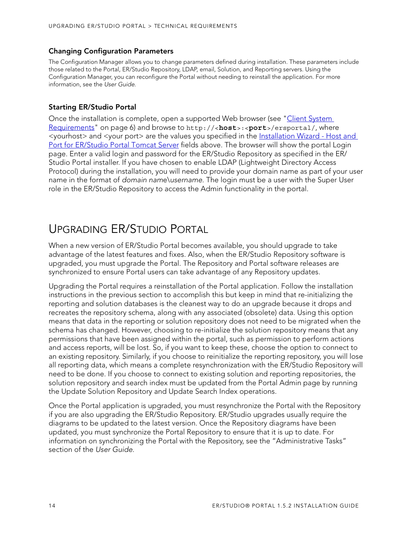#### **Changing Configuration Parameters**

The Configuration Manager allows you to change parameters defined during installation. These parameters include those related to the Portal, ER/Studio Repository, LDAP, email, Solution, and Reporting servers. Using the Configuration Manager, you can reconfigure the Portal without needing to reinstall the application. For more information, see the User Guide.

#### **Starting ER/Studio Portal**

Once the installation is complete, open a supported Web browser (see "Client System [Requirements" on page 6\)](#page-5-1) and browse to http://<**host**>:<**port**>/ersportal/, where <yourhost> and <your port> are the values you specified in the [Installation Wizard - Host and](#page-7-0)  [Port for ER/Studio Portal Tomcat Server](#page-7-0) fields above. The browser will show the portal Login page. Enter a valid login and password for the ER/Studio Repository as specified in the ER/ Studio Portal installer. If you have chosen to enable LDAP (Lightweight Directory Access Protocol) during the installation, you will need to provide your domain name as part of your user name in the format of domain name\username. The login must be a user with the Super User role in the ER/Studio Repository to access the Admin functionality in the portal.

# <span id="page-13-0"></span>UPGRADING ER/STUDIO PORTAL

When a new version of ER/Studio Portal becomes available, you should upgrade to take advantage of the latest features and fixes. Also, when the ER/Studio Repository software is upgraded, you must upgrade the Portal. The Repository and Portal software releases are synchronized to ensure Portal users can take advantage of any Repository updates.

Upgrading the Portal requires a reinstallation of the Portal application. Follow the installation instructions in the previous section to accomplish this but keep in mind that re-initializing the reporting and solution databases is the cleanest way to do an upgrade because it drops and recreates the repository schema, along with any associated (obsolete) data. Using this option means that data in the reporting or solution repository does not need to be migrated when the schema has changed. However, choosing to re-initialize the solution repository means that any permissions that have been assigned within the portal, such as permission to perform actions and access reports, will be lost. So, if you want to keep these, choose the option to connect to an existing repository. Similarly, if you choose to reinitialize the reporting repository, you will lose all reporting data, which means a complete resynchronization with the ER/Studio Repository will need to be done. If you choose to connect to existing solution and reporting repositories, the solution repository and search index must be updated from the Portal Admin page by running the Update Solution Repository and Update Search Index operations.

Once the Portal application is upgraded, you must resynchronize the Portal with the Repository if you are also upgrading the ER/Studio Repository. ER/Studio upgrades usually require the diagrams to be updated to the latest version. Once the Repository diagrams have been updated, you must synchronize the Portal Repository to ensure that it is up to date. For information on synchronizing the Portal with the Repository, see the "Administrative Tasks" section of the User Guide.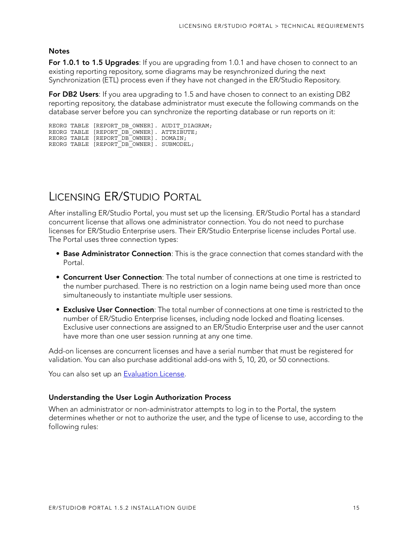#### **Notes**

**For 1.0.1 to 1.5 Upgrades**: If you are upgrading from 1.0.1 and have chosen to connect to an existing reporting repository, some diagrams may be resynchronized during the next Synchronization (ETL) process even if they have not changed in the ER/Studio Repository.

**For DB2 Users**: If you area upgrading to 1.5 and have chosen to connect to an existing DB2 reporting repository, the database administrator must execute the following commands on the database server before you can synchronize the reporting database or run reports on it:

REORG TABLE [REPORT\_DB\_OWNER]. AUDIT\_DIAGRAM; REORG TABLE [REPORT DB OWNER]. ATTRIBUTE; REORG TABLE [REPORT\_DB\_OWNER]. DOMAIN; REORG TABLE [REPORT DB OWNER]. SUBMODEL;

# <span id="page-14-0"></span>LICENSING ER/STUDIO PORTAL

After installing ER/Studio Portal, you must set up the licensing. ER/Studio Portal has a standard concurrent license that allows one administrator connection. You do not need to purchase licenses for ER/Studio Enterprise users. Their ER/Studio Enterprise license includes Portal use. The Portal uses three connection types:

- **Base Administrator Connection**: This is the grace connection that comes standard with the Portal.
- **Concurrent User Connection**: The total number of connections at one time is restricted to the number purchased. There is no restriction on a login name being used more than once simultaneously to instantiate multiple user sessions.
- **Exclusive User Connection**: The total number of connections at one time is restricted to the number of ER/Studio Enterprise licenses, including node locked and floating licenses. Exclusive user connections are assigned to an ER/Studio Enterprise user and the user cannot have more than one user session running at any one time.

Add-on licenses are concurrent licenses and have a serial number that must be registered for validation. You can also purchase additional add-ons with 5, 10, 20, or 50 connections.

You can also set up an [Evaluation License.](#page-18-0)

#### **Understanding the User Login Authorization Process**

When an administrator or non-administrator attempts to log in to the Portal, the system determines whether or not to authorize the user, and the type of license to use, according to the following rules: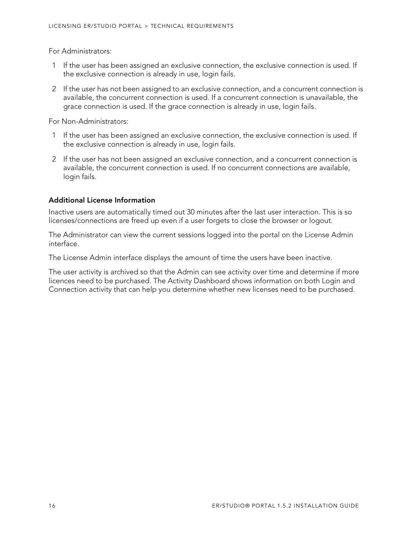For Administrators:

- 1 If the user has been assigned an exclusive connection, the exclusive connection is used. If the exclusive connection is already in use, login fails.
- 2 If the user has not been assigned to an exclusive connection, and a concurrent connection is available, the concurrent connection is used. If a concurrent connection is unavailable, the grace connection is used. If the grace connection is already in use, login fails.

For Non-Administrators:

- 1 If the user has been assigned an exclusive connection, the exclusive connection is used. If the exclusive connection is already in use, login fails.
- 2 If the user has not been assigned an exclusive connection, and a concurrent connection is available, the concurrent connection is used. If no concurrent connections are available, login fails.

#### **Additional License Information**

Inactive users are automatically timed out 30 minutes after the last user interaction. This is so licenses/connections are freed up even if a user forgets to close the browser or logout.

The Administrator can view the current sessions logged into the portal on the License Admin interface.

The License Admin interface displays the amount of time the users have been inactive.

The user activity is archived so that the Admin can see activity over time and determine if more licences need to be purchased. The Activity Dashboard shows information on both Login and Connection activity that can help you determine whether new licenses need to be purchased.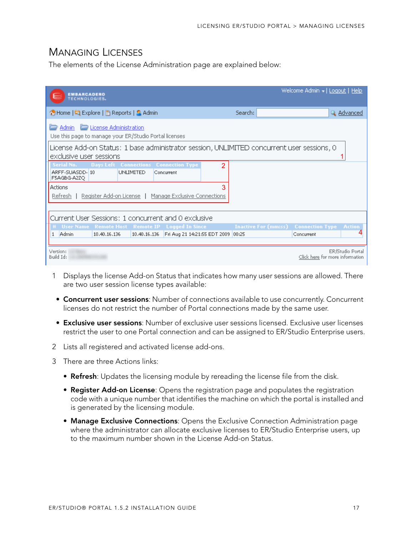## <span id="page-16-0"></span>MANAGING LICENSES

The elements of the License Administration page are explained below:

| <b>EMBARCADERO</b><br><b>TECHNOLOGIES.</b>                                                                            |                                                                                                      |               |                             | Welcome Admin +   Logout   Help                       |  |
|-----------------------------------------------------------------------------------------------------------------------|------------------------------------------------------------------------------------------------------|---------------|-----------------------------|-------------------------------------------------------|--|
| ↑ Home   국 Explore   ③ Reports   S. Admin                                                                             |                                                                                                      |               | Search:                     | Q Advanced                                            |  |
| License Administration<br>Admin<br>Use this page to manage your ER/Studio Portal licenses.                            |                                                                                                      |               |                             |                                                       |  |
| License Add-on Status: 1 base administrator session, UNLIMITED concurrent user sessions, 0<br>exclusive user sessions |                                                                                                      |               |                             |                                                       |  |
| ARFF-SUASDD-10<br>F5AGBG-A2ZO                                                                                         | Serial No.         Days Left    Connections    Connection Type<br><b>UNLIMITED</b><br>Concurrent     | $\mathcal{P}$ |                             |                                                       |  |
| Actions<br>3<br>Register Add-on License   Manage Exclusive Connections<br>Refresh                                     |                                                                                                      |               |                             |                                                       |  |
| Current User Sessions: 1 concurrent and 0 exclusive                                                                   |                                                                                                      |               |                             |                                                       |  |
| <b>Admin</b><br>10.40.16.136<br>$\mathbf{1}$                                                                          | # User Name Remote Host Remote IP Logged In Since<br>10.40.16.136 Fri Aug 21 14:21:55 EDT 2009 00:25 |               | <b>Inactive For (mm:ss)</b> | <b>Connection Type</b><br><b>Action</b><br>Concurrent |  |
| Version:<br>Build Id:                                                                                                 |                                                                                                      |               |                             | ER/Studio Portal<br>Click here for more information   |  |

- 1 Displays the license Add-on Status that indicates how many user sessions are allowed. There are two user session license types available:
- **Concurrent user sessions**: Number of connections available to use concurrently. Concurrent licenses do not restrict the number of Portal connections made by the same user.
- **Exclusive user sessions**: Number of exclusive user sessions licensed. Exclusive user licenses restrict the user to one Portal connection and can be assigned to ER/Studio Enterprise users.
- 2 Lists all registered and activated license add-ons.
- 3 There are three Actions links:
	- **Refresh**: Updates the licensing module by rereading the license file from the disk.
	- **Register Add-on License**: Opens the registration page and populates the registration code with a unique number that identifies the machine on which the portal is installed and is generated by the licensing module.
	- **Manage Exclusive Connections**: Opens the Exclusive Connection Administration page where the administrator can allocate exclusive licenses to ER/Studio Enterprise users, up to the maximum number shown in the License Add-on Status.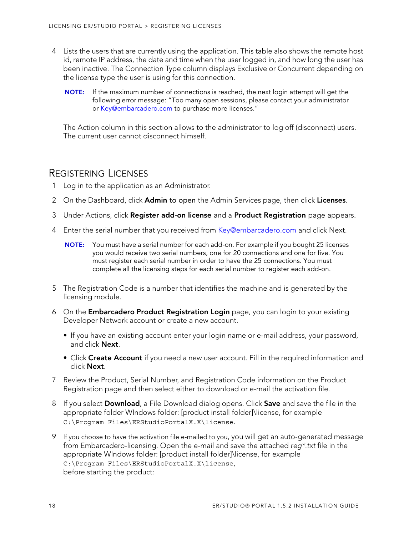- 4 Lists the users that are currently using the application. This table also shows the remote host id, remote IP address, the date and time when the user logged in, and how long the user has been inactive. The Connection Type column displays Exclusive or Concurrent depending on the license type the user is using for this connection.
	- **NOTE:** If the maximum number of connections is reached, the next login attempt will get the following error message: "Too many open sessions, please contact your administrator or [Key@embarcadero.com](mailto:key@embarcadero.com?subject=License Add-on Serial Number Request) to purchase more licenses."

The Action column in this section allows to the administrator to log off (disconnect) users. The current user cannot disconnect himself.

## <span id="page-17-0"></span>REGISTERING LICENSES

- 1 Log in to the application as an Administrator.
- 2 On the Dashboard, click **Admin** to open the Admin Services page, then click **Licenses**.
- 3 Under Actions, click **Register add-on license** and a **Product Registration** page appears.
- 4 Enter the serial number that you received from [Key@embarcadero.com](mailto:key@embarcadero.com?subject=License Add-on Serial Number Request) and click Next.
	- **NOTE:** You must have a serial number for each add-on. For example if you bought 25 licenses you would receive two serial numbers, one for 20 connections and one for five. You must register each serial number in order to have the 25 connections. You must complete all the licensing steps for each serial number to register each add-on.
- 5 The Registration Code is a number that identifies the machine and is generated by the licensing module.
- 6 On the **Embarcadero Product Registration Login** page, you can login to your existing Developer Network account or create a new account.
	- If you have an existing account enter your login name or e-mail address, your password, and click **Next**.
	- Click **Create Account** if you need a new user account. Fill in the required information and click **Next**.
- 7 Review the Product, Serial Number, and Registration Code information on the Product Registration page and then select either to download or e-mail the activation file.
- 8 If you select **Download**, a File Download dialog opens. Click **Save** and save the file in the appropriate folder WIndows folder: [product install folder]\license, for example C:\Program Files\ERStudioPortalX.X\license.
- 9 If you choose to have the activation file e-mailed to you, you will get an auto-generated message from Embarcadero-licensing. Open the e-mail and save the attached reg\*.txt file in the appropriate WIndows folder: [product install folder]\license, for example C:\Program Files\ERStudioPortalX.X\license, before starting the product: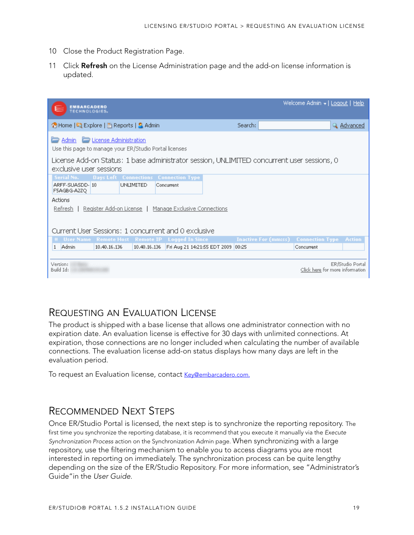- 10 Close the Product Registration Page.
- 11 Click **Refresh** on the License Administration page and the add-on license information is updated.

| <b>EMBARCADERO</b><br><b>TECHNOLOGIES</b>                                                                                           |                                                                                |                                    |  |         |                             | Welcome Admin →   <u>Logout</u>   <u>Help</u> |                  |
|-------------------------------------------------------------------------------------------------------------------------------------|--------------------------------------------------------------------------------|------------------------------------|--|---------|-----------------------------|-----------------------------------------------|------------------|
| ↑ Home   국 Explore   ③ Reports   S. Admin                                                                                           |                                                                                |                                    |  | Search: |                             |                                               | Q Advanced       |
| Admin <b>Collision</b> License Administration<br>Use this page to manage your ER/Studio Portal licenses                             |                                                                                |                                    |  |         |                             |                                               |                  |
| License Add-on Status: 1 base administrator session, UNLIMITED concurrent user sessions, 0<br>exclusive user sessions               |                                                                                |                                    |  |         |                             |                                               |                  |
| Serial No.<br>ARFF-SUASDD-10<br>F5AGBG-A2ZQ                                                                                         | <b>Days Left Connections Connection Type</b><br><b>UNLIMITED</b><br>Concurrent |                                    |  |         |                             |                                               |                  |
| Actions<br>Register Add-on License   Manage Exclusive Connections<br>Refresh<br>Current User Sessions: 1 concurrent and 0 exclusive |                                                                                |                                    |  |         |                             |                                               |                  |
| # User Name Remote Host Remote IP Logged In Since                                                                                   |                                                                                |                                    |  |         | <b>Inactive For (mm:ss)</b> | <b>Connection Type</b>                        | <b>Action</b>    |
| Admin<br>10.40.16.136<br>$\mathbf{1}$                                                                                               | 10.40.16.136                                                                   | Fri Aug 21 14:21:55 EDT 2009 00:25 |  |         |                             | Concurrent                                    |                  |
| Version:<br>Build Id:                                                                                                               |                                                                                |                                    |  |         |                             | Click here for more information               | ER/Studio Portal |

# <span id="page-18-0"></span>REQUESTING AN EVALUATION LICENSE

The product is shipped with a base license that allows one administrator connection with no expiration date. An evaluation license is effective for 30 days with unlimited connections. At expiration, those connections are no longer included when calculating the number of available connections. The evaluation license add-on status displays how many days are left in the evaluation period.

To request an Evaluation license, contact [Key@embarcadero.com.](mailto:key@embarcadero.com?subject=License Add-on Serial Number Request)

# <span id="page-18-1"></span>RECOMMENDED NEXT STEPS

Once ER/Studio Portal is licensed, the next step is to synchronize the reporting repository. The first time you synchronize the reporting database, it is recommend that you execute it manually via the Execute Synchronization Process action on the Synchronization Admin page. When synchronizing with a large repository, use the filtering mechanism to enable you to access diagrams you are most interested in reporting on immediately. The synchronization process can be quite lengthy depending on the size of the ER/Studio Repository. For more information, see "Administrator's Guide"in the User Guide.